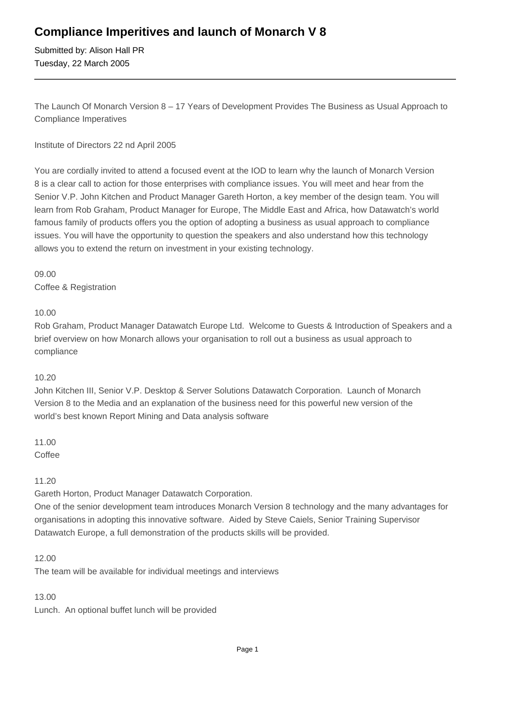## **Compliance Imperitives and launch of Monarch V 8**

Submitted by: Alison Hall PR Tuesday, 22 March 2005

The Launch Of Monarch Version 8 – 17 Years of Development Provides The Business as Usual Approach to Compliance Imperatives

Institute of Directors 22 nd April 2005

You are cordially invited to attend a focused event at the IOD to learn why the launch of Monarch Version 8 is a clear call to action for those enterprises with compliance issues. You will meet and hear from the Senior V.P. John Kitchen and Product Manager Gareth Horton, a key member of the design team. You will learn from Rob Graham, Product Manager for Europe, The Middle East and Africa, how Datawatch's world famous family of products offers you the option of adopting a business as usual approach to compliance issues. You will have the opportunity to question the speakers and also understand how this technology allows you to extend the return on investment in your existing technology.

09.00 Coffee & Registration

10.00

Rob Graham, Product Manager Datawatch Europe Ltd. Welcome to Guests & Introduction of Speakers and a brief overview on how Monarch allows your organisation to roll out a business as usual approach to compliance

## 10.20

John Kitchen III, Senior V.P. Desktop & Server Solutions Datawatch Corporation. Launch of Monarch Version 8 to the Media and an explanation of the business need for this powerful new version of the world's best known Report Mining and Data analysis software

11.00 **Coffee** 

11.20

Gareth Horton, Product Manager Datawatch Corporation.

One of the senior development team introduces Monarch Version 8 technology and the many advantages for organisations in adopting this innovative software. Aided by Steve Caiels, Senior Training Supervisor Datawatch Europe, a full demonstration of the products skills will be provided.

12.00

The team will be available for individual meetings and interviews

13.00

Lunch. An optional buffet lunch will be provided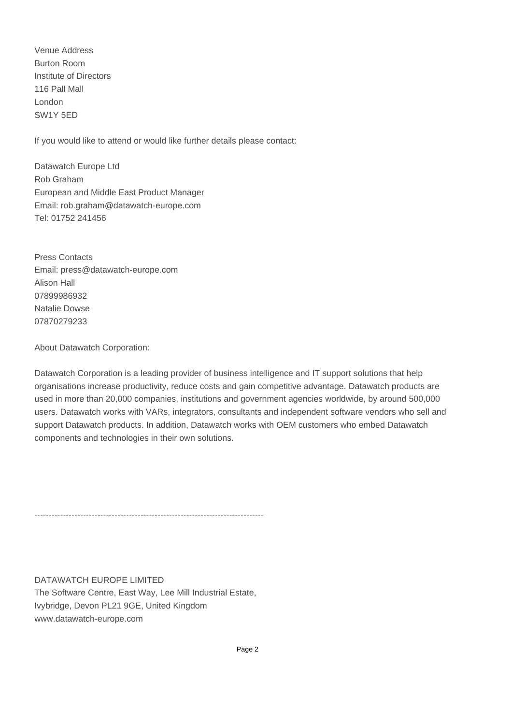Venue Address Burton Room Institute of Directors 116 Pall Mall London SW1Y 5ED

If you would like to attend or would like further details please contact:

Datawatch Europe Ltd Rob Graham European and Middle East Product Manager Email: rob.graham@datawatch-europe.com Tel: 01752 241456

Press Contacts Email: press@datawatch-europe.com Alison Hall 07899986932 Natalie Dowse 07870279233

About Datawatch Corporation:

Datawatch Corporation is a leading provider of business intelligence and IT support solutions that help organisations increase productivity, reduce costs and gain competitive advantage. Datawatch products are used in more than 20,000 companies, institutions and government agencies worldwide, by around 500,000 users. Datawatch works with VARs, integrators, consultants and independent software vendors who sell and support Datawatch products. In addition, Datawatch works with OEM customers who embed Datawatch components and technologies in their own solutions.

--------------------------------------------------------------------------------

DATAWATCH EUROPE LIMITED The Software Centre, East Way, Lee Mill Industrial Estate, Ivybridge, Devon PL21 9GE, United Kingdom www.datawatch-europe.com